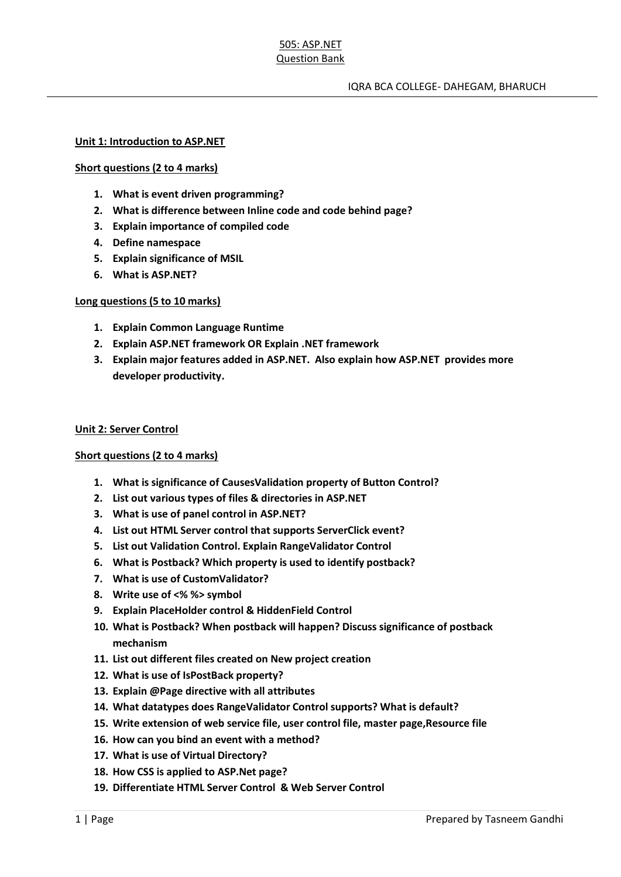# 505: ASP.NET Question Bank

### **Unit 1: Introduction to ASP.NET**

# **Short questions (2 to 4 marks)**

- **1. What is event driven programming?**
- **2. What is difference between Inline code and code behind page?**
- **3. Explain importance of compiled code**
- **4. Define namespace**
- **5. Explain significance of MSIL**
- **6. What is ASP.NET?**

# **Long questions (5 to 10 marks)**

- **1. Explain Common Language Runtime**
- **2. Explain ASP.NET framework OR Explain .NET framework**
- **3. Explain major features added in ASP.NET. Also explain how ASP.NET provides more developer productivity.**

#### **Unit 2: Server Control**

# **Short questions (2 to 4 marks)**

- **1. What is significance of CausesValidation property of Button Control?**
- **2. List out various types of files & directories in ASP.NET**
- **3. What is use of panel control in ASP.NET?**
- **4. List out HTML Server control that supports ServerClick event?**
- **5. List out Validation Control. Explain RangeValidator Control**
- **6. What is Postback? Which property is used to identify postback?**
- **7. What is use of CustomValidator?**
- **8. Write use of <% %> symbol**
- **9. Explain PlaceHolder control & HiddenField Control**
- **10. What is Postback? When postback will happen? Discuss significance of postback mechanism**
- **11. List out different files created on New project creation**
- **12. What is use of IsPostBack property?**
- **13. Explain @Page directive with all attributes**
- **14. What datatypes does RangeValidator Control supports? What is default?**
- **15. Write extension of web service file, user control file, master page,Resource file**
- **16. How can you bind an event with a method?**
- **17. What is use of Virtual Directory?**
- **18. How CSS is applied to ASP.Net page?**
- **19. Differentiate HTML Server Control & Web Server Control**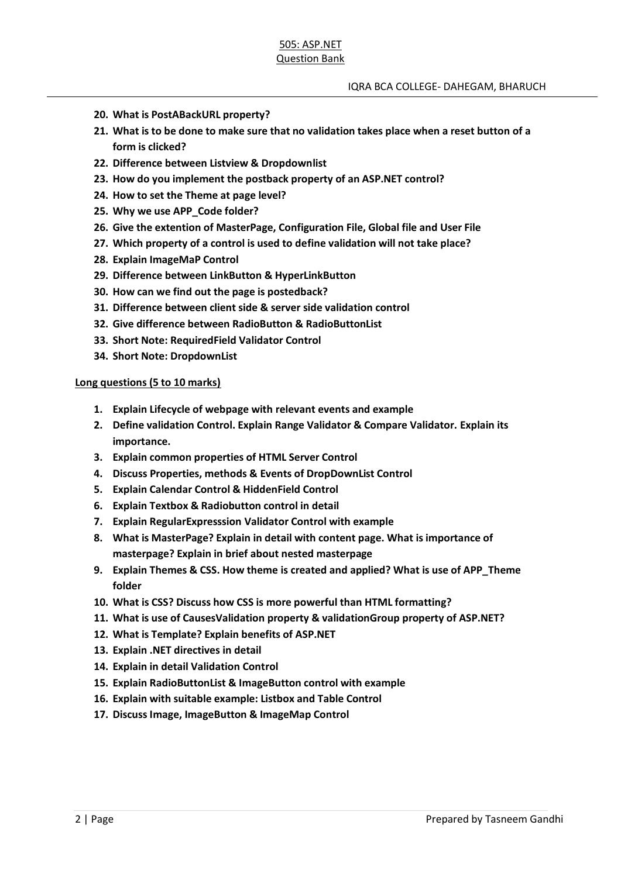- **20. What is PostABackURL property?**
- **21. What is to be done to make sure that no validation takes place when a reset button of a form is clicked?**
- **22. Difference between Listview & Dropdownlist**
- **23. How do you implement the postback property of an ASP.NET control?**
- **24. How to set the Theme at page level?**
- **25. Why we use APP\_Code folder?**
- **26. Give the extention of MasterPage, Configuration File, Global file and User File**
- **27. Which property of a control is used to define validation will not take place?**
- **28. Explain ImageMaP Control**
- **29. Difference between LinkButton & HyperLinkButton**
- **30. How can we find out the page is postedback?**
- **31. Difference between client side & server side validation control**
- **32. Give difference between RadioButton & RadioButtonList**
- **33. Short Note: RequiredField Validator Control**
- **34. Short Note: DropdownList**

**Long questions (5 to 10 marks)**

- **1. Explain Lifecycle of webpage with relevant events and example**
- **2. Define validation Control. Explain Range Validator & Compare Validator. Explain its importance.**
- **3. Explain common properties of HTML Server Control**
- **4. Discuss Properties, methods & Events of DropDownList Control**
- **5. Explain Calendar Control & HiddenField Control**
- **6. Explain Textbox & Radiobutton control in detail**
- **7. Explain RegularExpresssion Validator Control with example**
- **8. What is MasterPage? Explain in detail with content page. What is importance of masterpage? Explain in brief about nested masterpage**
- **9. Explain Themes & CSS. How theme is created and applied? What is use of APP\_Theme folder**
- **10. What is CSS? Discuss how CSS is more powerful than HTML formatting?**
- **11. What is use of CausesValidation property & validationGroup property of ASP.NET?**
- **12. What is Template? Explain benefits of ASP.NET**
- **13. Explain .NET directives in detail**
- **14. Explain in detail Validation Control**
- **15. Explain RadioButtonList & ImageButton control with example**
- **16. Explain with suitable example: Listbox and Table Control**
- **17. Discuss Image, ImageButton & ImageMap Control**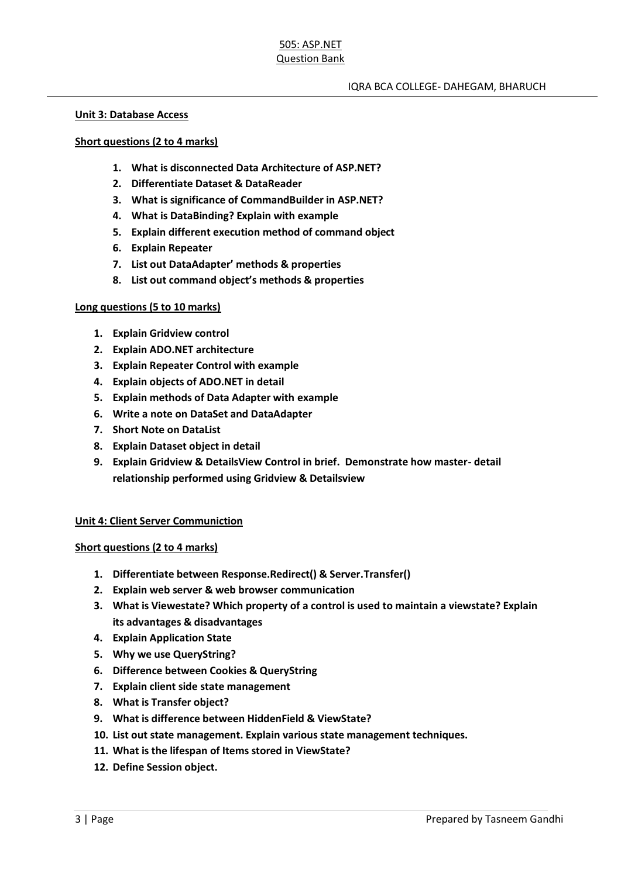# IQRA BCA COLLEGE- DAHEGAM, BHARUCH

#### **Unit 3: Database Access**

### **Short questions (2 to 4 marks)**

- **1. What is disconnected Data Architecture of ASP.NET?**
- **2. Differentiate Dataset & DataReader**
- **3. What is significance of CommandBuilder in ASP.NET?**
- **4. What is DataBinding? Explain with example**
- **5. Explain different execution method of command object**
- **6. Explain Repeater**
- **7. List out DataAdapter' methods & properties**
- **8. List out command object's methods & properties**

### **Long questions (5 to 10 marks)**

- **1. Explain Gridview control**
- **2. Explain ADO.NET architecture**
- **3. Explain Repeater Control with example**
- **4. Explain objects of ADO.NET in detail**
- **5. Explain methods of Data Adapter with example**
- **6. Write a note on DataSet and DataAdapter**
- **7. Short Note on DataList**
- **8. Explain Dataset object in detail**
- **9. Explain Gridview & DetailsView Control in brief. Demonstrate how master- detail relationship performed using Gridview & Detailsview**

# **Unit 4: Client Server Communiction**

# **Short questions (2 to 4 marks)**

- **1. Differentiate between Response.Redirect() & Server.Transfer()**
- **2. Explain web server & web browser communication**
- **3. What is Viewestate? Which property of a control is used to maintain a viewstate? Explain its advantages & disadvantages**
- **4. Explain Application State**
- **5. Why we use QueryString?**
- **6. Difference between Cookies & QueryString**
- **7. Explain client side state management**
- **8. What is Transfer object?**
- **9. What is difference between HiddenField & ViewState?**
- **10. List out state management. Explain various state management techniques.**
- **11. What is the lifespan of Items stored in ViewState?**
- **12. Define Session object.**